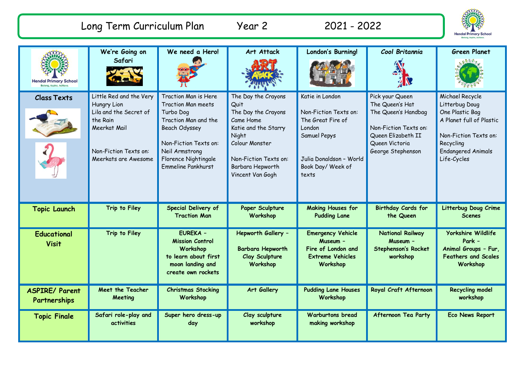| Long Term Curriculum Plan             |                                                                                                                                               | Year 2                                                                                                                                                                                    | 2021 - 2022                                                                                                                                                                         |                                                                                                                                                  | <b>Hendal Primary School</b>                                                                                                                    |                                                                                                                                                                    |
|---------------------------------------|-----------------------------------------------------------------------------------------------------------------------------------------------|-------------------------------------------------------------------------------------------------------------------------------------------------------------------------------------------|-------------------------------------------------------------------------------------------------------------------------------------------------------------------------------------|--------------------------------------------------------------------------------------------------------------------------------------------------|-------------------------------------------------------------------------------------------------------------------------------------------------|--------------------------------------------------------------------------------------------------------------------------------------------------------------------|
| <b>Hendal Primary School</b>          | We're Going on<br>Safari                                                                                                                      | We need a Hero!                                                                                                                                                                           | Art Attack                                                                                                                                                                          | London's Burning!                                                                                                                                | Cool Britannia                                                                                                                                  | <b>Green Planet</b>                                                                                                                                                |
| <b>Class Texts</b>                    | Little Red and the Very<br>Hungry Lion<br>Lila and the Secret of<br>the Rain<br>Meerkat Mail<br>Non-Fiction Texts on:<br>Meerkats are Awesome | Traction Man is Here<br>Traction Man meets<br>Turbo Dog<br>Traction Man and the<br>Beach Odyssey<br>Non-Fiction Texts on:<br>Neil Armstrong<br>Florence Nightingale<br>Emmeline Pankhurst | The Day the Crayons<br>Quit<br>The Day the Crayons<br>Came Home<br>Katie and the Starry<br>Night<br>Colour Monster<br>Non-Fiction Texts on:<br>Barbara Hepworth<br>Vincent Van Gogh | Katie in London<br>Non-Fiction Texts on:<br>The Great Fire of<br>London<br>Samuel Pepys<br>Julia Donaldson - World<br>Book Day/ Week of<br>texts | Pick your Queen<br>The Queen's Hat<br>The Queen's Handbag<br>Non-Fiction Texts on:<br>Queen Elizabeth II<br>Queen Victoria<br>George Stephenson | Michael Recycle<br>Litterbug Doug<br>One Plastic Bag<br>A Planet full of Plastic<br>Non-Fiction Texts on:<br>Recycling<br><b>Endangered Animals</b><br>Life-Cycles |
| <b>Topic Launch</b>                   | Trip to Filey                                                                                                                                 | Special Delivery of<br><b>Traction Man</b>                                                                                                                                                | Paper Sculpture<br>Workshop                                                                                                                                                         | <b>Making Houses for</b><br><b>Pudding Lane</b>                                                                                                  | Birthday Cards for<br>the Queen                                                                                                                 | Litterbug Doug Crime<br><b>Scenes</b>                                                                                                                              |
| <b>Educational</b><br><b>Visit</b>    | Trip to Filey                                                                                                                                 | <b>EUREKA -</b><br><b>Mission Control</b><br>Workshop<br>to learn about first<br>moon landing and<br>create own rockets                                                                   | Hepworth Gallery -<br><b>Barbara Hepworth</b><br>Clay Sculpture<br>Workshop                                                                                                         | <b>Emergency Vehicle</b><br>Museum -<br>Fire of London and<br><b>Extreme Vehicles</b><br>Workshop                                                | <b>National Railway</b><br>Museum -<br><b>Stephenson's Rocket</b><br>workshop                                                                   | <b>Yorkshire Wildlife</b><br>Park -<br>Animal Groups - Fur,<br><b>Feathers and Scales</b><br>Workshop                                                              |
| <b>ASPIRE/ Parent</b><br>Partnerships | Meet the Teacher<br>Meeting                                                                                                                   | <b>Christmas Stocking</b><br>Workshop                                                                                                                                                     | Art Gallery                                                                                                                                                                         | <b>Pudding Lane Houses</b><br>Workshop                                                                                                           | Royal Craft Afternoon                                                                                                                           | <b>Recycling model</b><br>workshop                                                                                                                                 |
| <b>Topic Finale</b>                   | Safari role-play and<br>activities                                                                                                            | Super hero dress-up<br>day                                                                                                                                                                | Clay sculpture<br>workshop                                                                                                                                                          | <b>Warburtons bread</b><br>making workshop                                                                                                       | Afternoon Tea Party                                                                                                                             | Eco News Report                                                                                                                                                    |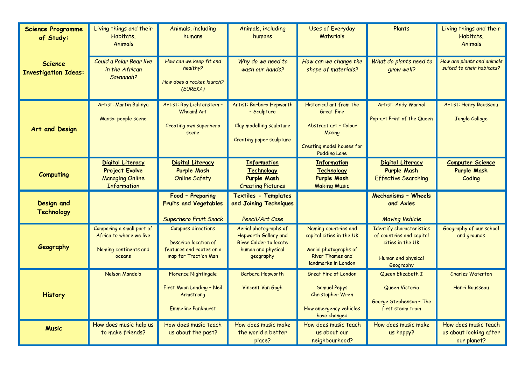| <b>Science Programme</b><br>of Study:         | Living things and their<br>Habitats,<br><b>Animals</b>                                           | Animals, including<br>humans                                                                          | Animals, including<br>humans                                                                               | <b>Uses of Everyday</b><br><b>Materials</b>                                                                                         | Plants                                                                                                      | Living things and their<br>Habitats,<br><b>Animals</b>        |
|-----------------------------------------------|--------------------------------------------------------------------------------------------------|-------------------------------------------------------------------------------------------------------|------------------------------------------------------------------------------------------------------------|-------------------------------------------------------------------------------------------------------------------------------------|-------------------------------------------------------------------------------------------------------------|---------------------------------------------------------------|
| <b>Science</b><br><b>Investigation Ideas:</b> | Could a Polar Bear live<br>in the African<br>Savannah?                                           | How can we keep fit and<br>healthy?<br>How does a rocket launch?<br>(EUREKA)                          | Why do we need to<br>wash our hands?                                                                       | How can we change the<br>shape of materials?                                                                                        | What do plants need to<br>grow well?                                                                        | How are plants and animals<br>suited to their habitats?       |
| Art and Design                                | Artist: Martin Bulinya<br>Maasai people scene                                                    | Artist: Roy Lichtenstein -<br>Whaam! Art<br>Creating own superhero<br>scene                           | Artist: Barbara Hepworth<br>- Sculpture<br>Clay modelling sculpture<br>Creating paper sculpture            | Historical art from the<br><b>Great Fire</b><br>Abstract art - Colour<br>Mixing<br>Creating model houses for<br><b>Pudding Lane</b> | Artist: Andy Warhol<br>Pop-art Print of the Queen                                                           | Artist: Henry Rousseau<br>Jungle Collage                      |
| <b>Computing</b>                              | <b>Digital Literacy</b><br><b>Project Evolve</b><br><b>Managing Online</b><br><b>Information</b> | <b>Digital Literacy</b><br><b>Purple Mash</b><br><b>Online Safety</b>                                 | <b>Information</b><br><b>Technology</b><br><b>Purple Mash</b><br><b>Creating Pictures</b>                  | <b>Information</b><br><b>Technology</b><br><b>Purple Mash</b><br><b>Making Music</b>                                                | <b>Digital Literacy</b><br><b>Purple Mash</b><br><b>Effective Searching</b>                                 | <b>Computer Science</b><br><b>Purple Mash</b><br>Coding       |
| <b>Design and</b><br><b>Technology</b>        |                                                                                                  | Food - Preparing<br><b>Fruits and Vegetables</b><br>Superhero Fruit Snack                             | Textiles - Templates<br>and Joining Techniques<br>Pencil/Art Case                                          |                                                                                                                                     | Mechanisms - Wheels<br>and Axles<br><b>Moving Vehicle</b>                                                   |                                                               |
| Geography                                     | Comparing a small part of<br>Africa to where we live<br>Naming continents and<br>oceans          | <b>Compass directions</b><br>Describe location of<br>features and routes on a<br>map for Traction Man | Aerial photographs of<br>Hepworth Gallery and<br>River Calder to locate<br>human and physical<br>geography | Naming countries and<br>capital cities in the UK<br>Aerial photographs of<br><b>River Thames and</b><br>landmarks in London         | Identify characteristics<br>of countries and capital<br>cities in the UK<br>Human and physical<br>Geography | Geography of our school<br>and grounds                        |
| <b>History</b>                                | Nelson Mandela                                                                                   | <b>Florence Nightingale</b><br>First Moon Landing - Neil<br>Armstrong<br><b>Emmeline Pankhurst</b>    | Barbara Hepworth<br>Vincent Van Gogh                                                                       | <b>Great Fire of London</b><br><b>Samuel Pepys</b><br>Christopher Wren<br>How emergency vehicles<br>have changed                    | Queen Elizabeth I<br>Queen Victoria<br>George Stephenson - The<br>first steam train                         | <b>Charles Waterton</b><br>Henri Rousseau                     |
| <b>Music</b>                                  | How does music help us<br>to make friends?                                                       | How does music teach<br>us about the past?                                                            | How does music make<br>the world a better<br>place?                                                        | How does music teach<br>us about our<br>neighbourhood?                                                                              | How does music make<br>us happy?                                                                            | How does music teach<br>us about looking after<br>our planet? |